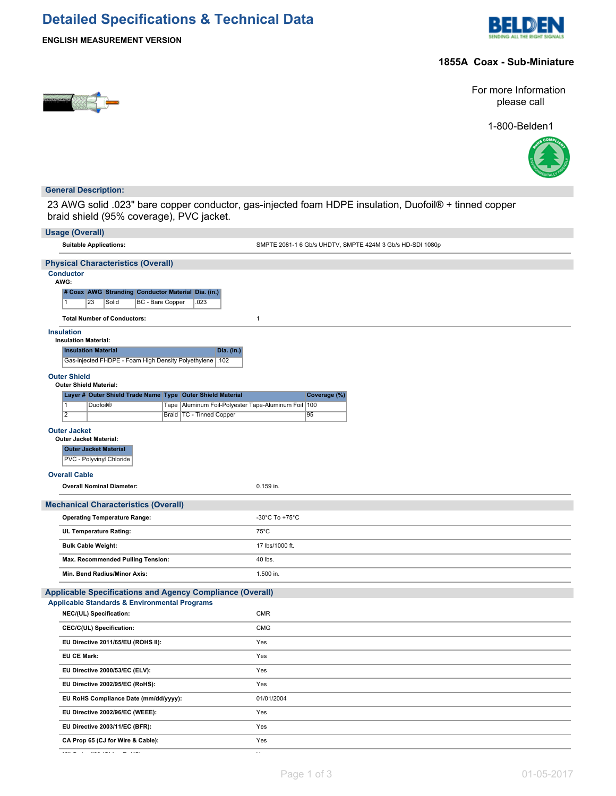# **Detailed Specifications & Technical Data**



# **ENGLISH MEASUREMENT VERSION**

### **1855A Coax - Sub-Miniature**



For more Information please call

1-800-Belden1



### **General Description:**

23 AWG solid .023" bare copper conductor, gas-injected foam HDPE insulation, Duofoil® + tinned copper braid shield (95% coverage), PVC jacket.

| <b>Usage (Overall)</b>                                                                                                                                                                                                                    |                                                                                                                                                                                                                              |  |  |  |  |  |  |
|-------------------------------------------------------------------------------------------------------------------------------------------------------------------------------------------------------------------------------------------|------------------------------------------------------------------------------------------------------------------------------------------------------------------------------------------------------------------------------|--|--|--|--|--|--|
| <b>Suitable Applications:</b>                                                                                                                                                                                                             | SMPTE 2081-1 6 Gb/s UHDTV, SMPTE 424M 3 Gb/s HD-SDI 1080p                                                                                                                                                                    |  |  |  |  |  |  |
| <b>Physical Characteristics (Overall)</b><br><b>Conductor</b><br>AWG:<br># Coax   AWG   Stranding   Conductor Material   Dia. (in.)<br>23<br>Solid<br>BC - Bare Copper<br>.023<br>1<br><b>Total Number of Conductors:</b><br>$\mathbf{1}$ |                                                                                                                                                                                                                              |  |  |  |  |  |  |
| <b>Insulation</b>                                                                                                                                                                                                                         |                                                                                                                                                                                                                              |  |  |  |  |  |  |
| <b>Insulation Material:</b><br><b>Insulation Material</b><br>Dia. (in.)<br>Sas-injected FHDPE - Foam High Density Polyethylene   .102                                                                                                     |                                                                                                                                                                                                                              |  |  |  |  |  |  |
| <b>Outer Shield</b><br><b>Outer Shield Material:</b>                                                                                                                                                                                      |                                                                                                                                                                                                                              |  |  |  |  |  |  |
| Layer # Outer Shield Trade Name Type Outer Shield Material                                                                                                                                                                                |                                                                                                                                                                                                                              |  |  |  |  |  |  |
| <b>Duofoil®</b><br>$\overline{1}$                                                                                                                                                                                                         |                                                                                                                                                                                                                              |  |  |  |  |  |  |
| $\overline{2}$<br>Braid   TC - Tinned Copper                                                                                                                                                                                              | 95                                                                                                                                                                                                                           |  |  |  |  |  |  |
| <b>Outer Jacket</b><br><b>Outer Jacket Material:</b><br><b>Outer Jacket Material</b><br>PVC - Polyvinyl Chloride<br><b>Overall Cable</b>                                                                                                  |                                                                                                                                                                                                                              |  |  |  |  |  |  |
| <b>Overall Nominal Diameter:</b><br>0.159 in.                                                                                                                                                                                             |                                                                                                                                                                                                                              |  |  |  |  |  |  |
| <b>Mechanical Characteristics (Overall)</b>                                                                                                                                                                                               | Coverage (%)<br>Tape   Aluminum Foil-Polyester Tape-Aluminum Foil   100<br>-30°C To +75°C<br>$75^{\circ}$ C<br>17 lbs/1000 ft.<br>40 lbs.<br>1.500 in.<br><b>CMR</b><br><b>CMG</b><br>Yes<br>Yes<br>Yes<br>Yes<br>01/01/2004 |  |  |  |  |  |  |
| <b>Operating Temperature Range:</b>                                                                                                                                                                                                       |                                                                                                                                                                                                                              |  |  |  |  |  |  |
| UL Temperature Rating:                                                                                                                                                                                                                    |                                                                                                                                                                                                                              |  |  |  |  |  |  |
| <b>Bulk Cable Weight:</b>                                                                                                                                                                                                                 |                                                                                                                                                                                                                              |  |  |  |  |  |  |
| Max. Recommended Pulling Tension:                                                                                                                                                                                                         |                                                                                                                                                                                                                              |  |  |  |  |  |  |
| Min. Bend Radius/Minor Axis:                                                                                                                                                                                                              |                                                                                                                                                                                                                              |  |  |  |  |  |  |
| <b>Applicable Specifications and Agency Compliance (Overall)</b>                                                                                                                                                                          |                                                                                                                                                                                                                              |  |  |  |  |  |  |
| <b>Applicable Standards &amp; Environmental Programs</b><br>NEC/(UL) Specification:                                                                                                                                                       |                                                                                                                                                                                                                              |  |  |  |  |  |  |
| CEC/C(UL) Specification:                                                                                                                                                                                                                  |                                                                                                                                                                                                                              |  |  |  |  |  |  |
| EU Directive 2011/65/EU (ROHS II):                                                                                                                                                                                                        |                                                                                                                                                                                                                              |  |  |  |  |  |  |
| <b>EU CE Mark:</b>                                                                                                                                                                                                                        |                                                                                                                                                                                                                              |  |  |  |  |  |  |
| EU Directive 2000/53/EC (ELV):                                                                                                                                                                                                            |                                                                                                                                                                                                                              |  |  |  |  |  |  |
| EU Directive 2002/95/EC (RoHS):                                                                                                                                                                                                           |                                                                                                                                                                                                                              |  |  |  |  |  |  |
| EU RoHS Compliance Date (mm/dd/yyyy):                                                                                                                                                                                                     |                                                                                                                                                                                                                              |  |  |  |  |  |  |
| EU Directive 2002/96/EC (WEEE):                                                                                                                                                                                                           | Yes                                                                                                                                                                                                                          |  |  |  |  |  |  |
| EU Directive 2003/11/EC (BFR):                                                                                                                                                                                                            | Yes                                                                                                                                                                                                                          |  |  |  |  |  |  |
| CA Prop 65 (CJ for Wire & Cable):                                                                                                                                                                                                         | Yes                                                                                                                                                                                                                          |  |  |  |  |  |  |

**MII Order #39 (China RoHS):** Yes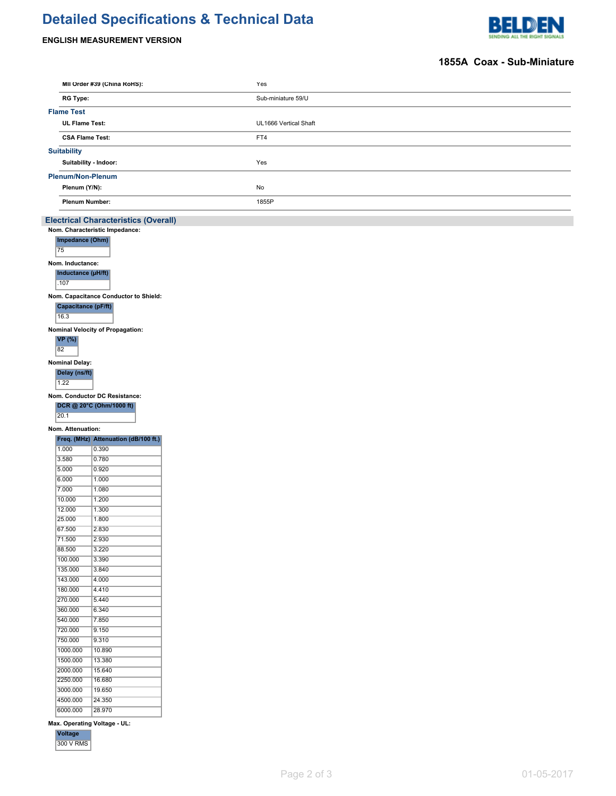# **Detailed Specifications & Technical Data**

# **ENGLISH MEASUREMENT VERSION**



### **1855A Coax - Sub-Miniature**

|                                        | MII Order #39 (China RoHS):                 |  | Yes                   |  |  |
|----------------------------------------|---------------------------------------------|--|-----------------------|--|--|
| <b>RG Type:</b>                        |                                             |  | Sub-miniature 59/U    |  |  |
| <b>Flame Test</b>                      |                                             |  |                       |  |  |
| <b>UL Flame Test:</b>                  |                                             |  | UL1666 Vertical Shaft |  |  |
| <b>CSA Flame Test:</b>                 |                                             |  | FT4                   |  |  |
| <b>Suitability</b>                     |                                             |  |                       |  |  |
| Suitability - Indoor:                  |                                             |  | Yes                   |  |  |
| <b>Plenum/Non-Plenum</b>               |                                             |  |                       |  |  |
| Plenum (Y/N):                          |                                             |  | No                    |  |  |
|                                        |                                             |  |                       |  |  |
| <b>Plenum Number:</b>                  |                                             |  | 1855P                 |  |  |
|                                        | <b>Electrical Characteristics (Overall)</b> |  |                       |  |  |
|                                        | Nom. Characteristic Impedance:              |  |                       |  |  |
| Impedance (Ohm)                        |                                             |  |                       |  |  |
| 75                                     |                                             |  |                       |  |  |
| Nom. Inductance:<br>Inductance (µH/ft) |                                             |  |                       |  |  |
| .107                                   |                                             |  |                       |  |  |
|                                        | Nom. Capacitance Conductor to Shield:       |  |                       |  |  |
| <b>Capacitance (pF/ft)</b>             |                                             |  |                       |  |  |
| 16.3                                   |                                             |  |                       |  |  |
|                                        | <b>Nominal Velocity of Propagation:</b>     |  |                       |  |  |
| <b>VP</b> (%)                          |                                             |  |                       |  |  |
| 82                                     |                                             |  |                       |  |  |
| <b>Nominal Delay:</b>                  |                                             |  |                       |  |  |
| Delay (ns/ft)<br>1.22                  |                                             |  |                       |  |  |
|                                        | Nom. Conductor DC Resistance:               |  |                       |  |  |
|                                        | DCR @ 20°C (Ohm/1000 ft)                    |  |                       |  |  |
| 20.1                                   |                                             |  |                       |  |  |
| Nom. Attenuation:                      |                                             |  |                       |  |  |
|                                        | Freq. (MHz) Attenuation (dB/100 ft.)        |  |                       |  |  |
| 1.000                                  | 0.390                                       |  |                       |  |  |
| 3.580<br>5.000                         | 0.780<br>0.920                              |  |                       |  |  |
| 6.000                                  | 1.000                                       |  |                       |  |  |
| 7.000                                  | 1.080                                       |  |                       |  |  |
| 10.000                                 | 1.200                                       |  |                       |  |  |
| 12.000                                 | 1.300                                       |  |                       |  |  |
| 25.000<br>67.500                       | 1.800<br>2.830                              |  |                       |  |  |
| 71.500                                 | 2.930                                       |  |                       |  |  |
| 88.500                                 | 3.220                                       |  |                       |  |  |
| 100.000                                | 3.390                                       |  |                       |  |  |
| 135.000                                | 3.840                                       |  |                       |  |  |
| 143.000                                | 4.000                                       |  |                       |  |  |
| 180.000<br>270.000                     | 4.410<br>5.440                              |  |                       |  |  |
| 360.000                                | 6.340                                       |  |                       |  |  |
| 540.000                                | 7.850                                       |  |                       |  |  |
| 720.000                                | 9.150                                       |  |                       |  |  |
| 750.000                                | 9.310                                       |  |                       |  |  |
| 1000.000<br>1500.000                   | 10.890<br>13.380                            |  |                       |  |  |
| 2000.000                               | 15.640                                      |  |                       |  |  |
| 2250.000                               | 16.680                                      |  |                       |  |  |
| 3000.000                               | 19.650                                      |  |                       |  |  |
| 4500.000                               | 24.350                                      |  |                       |  |  |
| 6000.000                               | 28.970                                      |  |                       |  |  |
| Max. Operating Voltage - UL:           |                                             |  |                       |  |  |

**Voltage** 300 V RMS